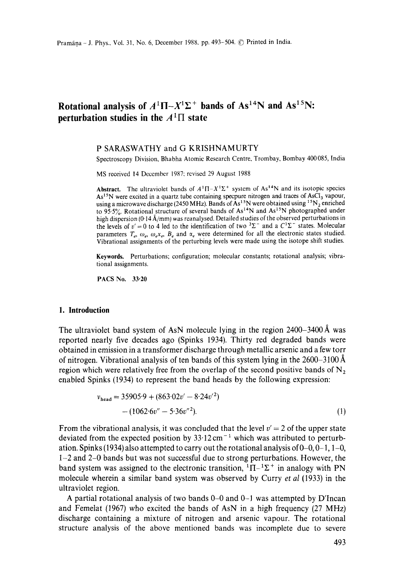# **Rotational analysis of**  $A^1\Pi - X^1\Sigma$ **<sup>+</sup> bands of As<sup>14</sup>N and As<sup>15</sup>N: perturbation studies in the**  $A<sup>1</sup>\Pi$  **state**

### P SARASWATHY and G KRISHNAMURTY

Spectroscopy Division, Bhabha Atomic Research Centre, Trombay, Bombay 400 085, India

MS received 14 December 1987: revised 29 August 1988

**Abstract.** The ultraviolet bands of  $A^{1}\Pi - X^{1}\Sigma^{+}$  system of  $As^{14}N$  and its isotopic species  $As<sup>15</sup>N$  were excited in a quartz tube containing specpure nitrogen and traces of  $AsCl<sub>3</sub>$  vapour, using a microwave discharge (2450 MHz). Bands of As<sup>15</sup>N were obtained using <sup>15</sup>N<sub>2</sub> enriched to 95.5%. Rotational structure of several bands of  $As^{14}N$  and  $As^{15}N$  photographed under high dispersion (0-14  $\AA$ /mm) was reanalysed. Detailed studies of the observed perturbations in the levels of  $v' = 0$  to 4 led to the identification of two  ${}^{3}\Sigma^{-}$  and a  $C^{1}\Sigma^{-}$  states. Molecular parameters  $T_e$ ,  $\omega_e$ ,  $\omega_e x_e$ ,  $B_e$  and  $\alpha_e$  were determined for all the electronic states studied. Vibrational assignments of the perturbing levels were made using the isotope shift studies.

Keywords. Perturbations; configuration; molecular constants; rotational analysis; vibrational assignments.

PACS No. 33.20

### **1. Introduction**

The ultraviolet band system of AsN molecule lying in the region  $2400-3400 \text{ Å}$  was reported nearly five decades ago (Spinks 1934). Thirty red degraded bands were obtained in emission in a transformer discharge through metallic arsenic and a few torr of nitrogen. Vibrational analysis of ten bands of this system lying in the  $2600-3100 \text{ Å}$ region which were relatively free from the overlap of the second positive bands of  $N<sub>2</sub>$ enabled Spinks (1934) to represent the band heads by the following expression:

$$
v_{\text{head}} = 35905.9 + (863.02v' - 8.24v'^2)
$$
  
- (1062.6v'' - 5.36v''<sup>2</sup>). (1)

From the vibrational analysis, it was concluded that the level  $v' = 2$  of the upper state deviated from the expected position by  $33.12 \text{ cm}^{-1}$  which was attributed to perturbation. Spinks (1934) also attempted to carry out the rotational analysis of  $0-0$ ,  $0-1$ ,  $1-0$ , 1-2 and 2-0 bands but was not successful due to strong perturbations. However, the band system was assigned to the electronic transition,  ${}^{1}\Pi-{}^{1}\Sigma^{+}$  in analogy with PN molecule wherein a similar band system was observed by Curry *et al* (1933) in the ultraviolet region,

A partial rotational analysis of two bands  $0-0$  and  $0-1$  was attempted by D'Incan and Femelat (1967) who excited the bands of AsN in a high frequency (27 MHz) discharge containing a mixture of nitrogen and arsenic vapour. The rotational structure analysis of the above mentioned bands was incomplete due to severe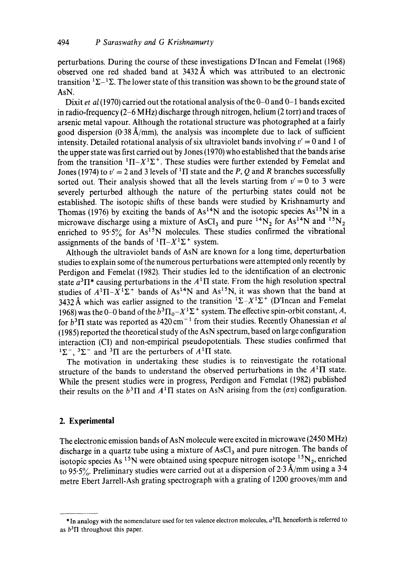perturbations. During the course of these investigations D'Incan and Femelat (1968) observed one red shaded band at  $3432\text{\AA}$  which was attributed to an electronic transition  ${}^{1}\Sigma - {}^{1}\Sigma$ . The lower state of this transition was shown to be the ground state of AsN.

Dixit *et al* (1970) carried out the rotational analysis of the 0-0 and 0-1 bands excited in radio-frequency (2-6 MHz) discharge through nitrogen, helium (2 torr) and traces of arsenic metal vapour. Although the rotational structure was photographed at a fairly good dispersion  $(0.38 \text{ Å/mm})$ , the analysis was incomplete due to lack of sufficient intensity. Detailed rotational analysis of six ultraviolet bands involving  $v' = 0$  and 1 of the upper state was first carried out by Jones (1970) who established that the bands arise from the transition  ${}^{1}\Pi - X {}^{1}\Sigma$ <sup>+</sup>. These studies were further extended by Femelat and Jones (1974) to  $v' = 2$  and 3 levels of <sup>1</sup>II state and the P, Q and R branches successfully sorted out. Their analysis showed that all the levels starting from  $v' = 0$  to 3 were severely perturbed although the nature of the perturbing states could not be established. The isotopic shifts of these bands were studied by Krishnamurty and Thomas (1976) by exciting the bands of  $As^{14}N$  and the isotopic species  $As^{15}N$  in a microwave discharge using a mixture of AsCl<sub>3</sub> and pure <sup>14</sup>N<sub>2</sub> for As<sup>14</sup>N and <sup>15</sup>N<sub>2</sub> enriched to  $95.5\%$  for As<sup>15</sup>N molecules. These studies confirmed the vibrational assignments of the bands of  ${}^{1}\Pi - X {}^{1}\Sigma$  system.

Although the ultraviolet bands of AsN are known for a long time, deperturbation studies to explain some of the numerous perturbations were attempted only recently by Perdigon and Femelat (1982). Their studies led to the identification of an electronic state  $a^3\Pi^*$  causing perturbations in the  $A^1\Pi$  state. From the high resolution spectral studies of  $A^1\Pi - X^1\Sigma^+$  bands of As<sup>14</sup>N and As<sup>15</sup>N, it was shown that the band at 3432 Å which was earlier assigned to the transition  ${}^{1}\Sigma - X{}^{1}\Sigma^{+}$  (D'Incan and Femelat 1968) was the 0-0 band of the  $b^3\Pi_0 - X^1\Sigma^+$  system. The effective spin-orbit constant, A, for  $b^3\Pi$  state was reported as  $420 \text{ cm}^{-1}$  from their studies. Recently Ohanessian *et al* (1985) reported the theoretical study of the AsN spectrum, based on large configuration interaction (CI) and non-empirical pseudopotentials. These studies confirmed that  $1\Sigma^-$ ,  $3\Sigma^-$  and  $3\Pi$  are the perturbers of  $A^1\Pi$  state.

The motivation in undertaking these studies is to reinvestigate the rotational structure of the bands to understand the observed perturbations in the  $A<sup>1</sup>\Pi$  state. While the present studies were in progress, Perdigon and Femelat (1982) published their results on the  $b^3\Pi$  and  $A^1\Pi$  states on AsN arising from the ( $\sigma\pi$ ) configuration.

# **2. Experimental**

The electronic emission bands of AsN molecule were excited in microwave (2450 MHz) discharge in a quartz tube using a mixture of AsCl<sub>3</sub> and pure nitrogen. The bands of isotopic species As <sup>15</sup>N were obtained using specpure nitrogen isotope <sup>15</sup>N<sub>2</sub>, enriched to 95.5%. Preliminary studies were carried out at a dispersion of 2.3 Å/mm using a 3.4 metre Ebert Jarrell-Ash grating spectrograph with a grating of 1200 grooves/mm and

 $*$  In analogy with the nomenclature used for ten valence electron molecules,  $a<sup>3</sup>$ II, henceforth is referred to as  $b<sup>3</sup>$ II throughout this paper.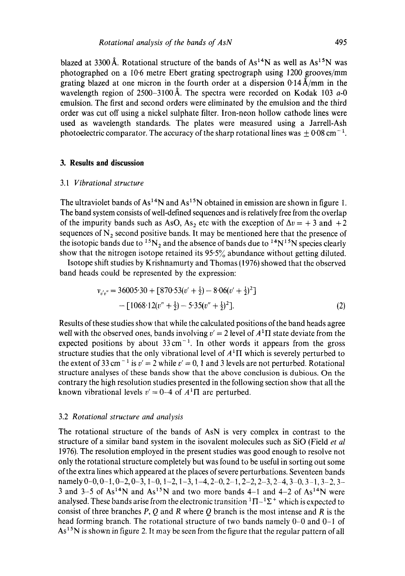blazed at 3300 Å. Rotational structure of the bands of  $As^{14}N$  as well as  $As^{15}N$  was photographed on a 10.6 metre Ebert grating spectrograph using 1200 grooves/mm grating blazed at one micron in the fourth order at a dispersion  $0.14 \text{ Å/mm}$  in the wavelength region of 2500-3100 Å. The spectra were recorded on Kodak 103  $a$ -0 emulsion. The first and second orders were eliminated by the emulsion and the third order was cut off using a nickel sulphate filter. Iron-neon hollow cathode lines were used as wavelength standards. The plates were measured using a Jarrell-Ash photoelectric comparator. The accuracy of the sharp rotational lines was  $\pm 0.08$  cm<sup>-1</sup>.

# **3. Results and discussion**

# 3.l *Vibrational structure*

The ultraviolet bands of  $As^{14}N$  and  $As^{15}N$  obtained in emission are shown in figure 1. The band system consists of well-defined sequences and is relatively free from the overlap of the impurity bands such as AsO, As<sub>2</sub> etc with the exception of  $\Delta v = +3$  and  $+2$ sequences of  $N<sub>2</sub>$  second positive bands. It may be mentioned here that the presence of the isotopic bands due to  ${}^{15}N_2$  and the absence of bands due to  ${}^{14}N_{}^{15}N$  species clearly show that the nitrogen isotope retained its  $95.5\%$  abundance without getting diluted.

Isotope shift studies by Krishnamurty and Thomas (1976) showed that the observed band heads could be represented by the expression:

$$
v_{v'v''} = 36005.30 + [870.53(v' + \frac{1}{2}) - 8.06(v' + \frac{1}{2})^2]
$$
  
- [1068.12(v'' + \frac{1}{2}) - 5.35(v'' + \frac{1}{2})^2]. (2)

Results of these studies show that while the calculated positions of the band heads agree well with the observed ones, bands involving  $v' = 2$  level of  $A<sup>1</sup>\Pi$  state deviate from the expected positions by about  $33 \text{ cm}^{-1}$ . In other words it appears from the gross structure studies that the only vibrational level of  $A<sup>1</sup>\Pi$  which is severely perturbed to the extent of 33 cm<sup>-1</sup> is  $v' = 2$  while  $v' = 0$ , 1 and 3 levels are not perturbed. Rotational structure analyses of these bands show that the above conclusion is dubious. On the contrary the high resolution studies presented in the following section show that all the known vibrational levels  $v' = 0-4$  of  $A<sup>1</sup>\Pi$  are perturbed.

#### 3.2 *Rotational structure and analysis*

The rotational structure of the bands of AsN is very complex in contrast to the structure of a similar band system in the isovalent molecules such as SiO (Field *et al*  1976). The resolution employed in the present studies was good enough to resolve not only the rotational structure completely but was found to be useful in sorting out some of the extra lines which appeared at the places of severe perturbations. Seventeen bands namely  $0-0$ ,  $0-1$ ,  $0-2$ ,  $0-3$ ,  $1-0$ ,  $1-2$ ,  $1-3$ ,  $1-4$ ,  $2-0$ ,  $2-1$ ,  $2-2$ ,  $2-3$ ,  $2-4$ ,  $3-0$ ,  $3-1$ ,  $3-2$ ,  $3-$ 3 and 3-5 of  $As^{14}N$  and  $As^{15}N$  and two more bands 4-1 and 4-2 of  $As^{14}N$  were analysed. These bands arise from the electronic transition  ${}^{1}\Pi-{}^{1}\Sigma^{+}$  which is expected to consist of three branches  $P$ ,  $Q$  and  $R$  where  $Q$  branch is the most intense and  $R$  is the head forming branch. The rotational structure of two bands namely 0-0 and 0-1 of  $As<sup>15</sup>N$  is shown in figure 2. It may be seen from the figure that the regular pattern of all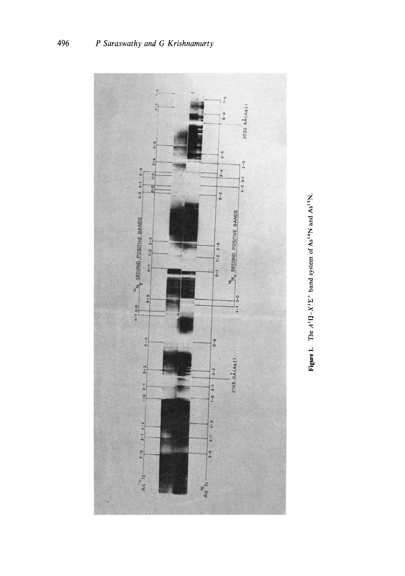

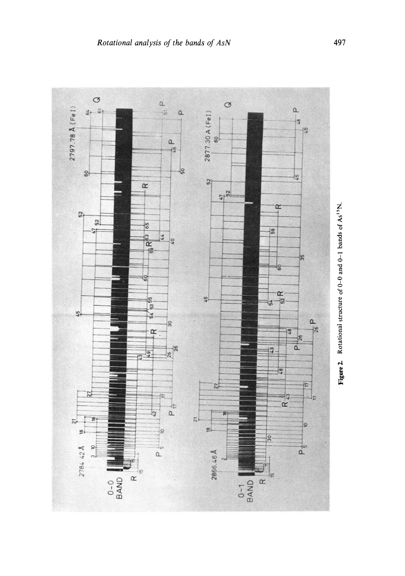

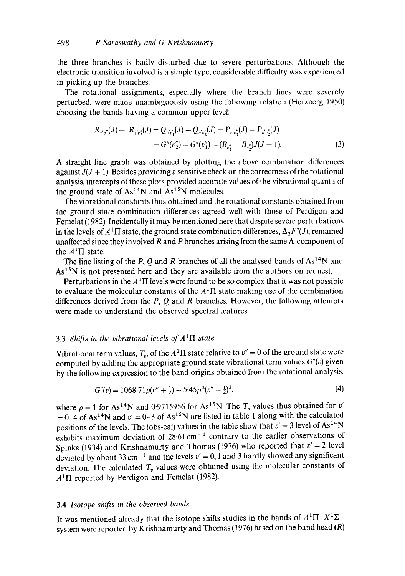the three branches is badly disturbed due to severe perturbations. Although the electronic transition involved is a simple type, considerable difficulty was experienced in picking up the branches.

The rotational assignments, especially where the branch lines were severely perturbed, were made unambiguously using the following relation (Herzberg 1950) choosing the bands having a common upper level:

$$
R_{r'v''_1}(J) - R_{v'v''_2}(J) = Q_{v'v''_1}(J) - Q_{v'v''_2}(J) = P_{v'v''_1}(J) - P_{v'v''_2}(J)
$$
  
=  $G''(v''_2) - G''(v''_1) - (B_{v''_1} - B_{v''_2})J(J+1).$  (3)

A straight line graph was obtained by plotting the above combination differences against  $J(J + 1)$ . Besides providing a sensitive check on the correctness of the rotational analysis, intercepts of these plots provided accurate values of the vibrational quanta of the ground state of  $As^{14}N$  and  $As^{15}N$  molecules.

The vibrational constants thus obtained and the rotational constants obtained from the ground state combination differences agreed well with those of Perdigon and Femelat (1982). Incidentally it may be mentioned here that despite severe perturbations in the levels of  $A<sup>1</sup>\Pi$  state, the ground state combination differences,  $\Delta_2F''(J)$ , remained unaffected since they involved  $R$  and  $P$  branches arising from the same  $\Lambda$ -component of the  $A<sup>1</sup>$ II state.

The line listing of the P, Q and R branches of all the analysed bands of  $As^{14}N$  and As<sup>15</sup>N is not presented here and they are available from the authors on request.

Perturbations in the  $A<sup>1</sup>$  I levels were found to be so complex that it was not possible to evaluate the molecular constants of the  $A<sup>1</sup>\Pi$  state making use of the combination differences derived from the  $P$ ,  $Q$  and  $R$  branches. However, the following attempts were made to understand the observed spectral features.

# 3.3 *Shifts in the vibrational levels of*  $A<sup>1</sup>\Pi$  *state*

Vibrational term values,  $T_v$ , of the  $A<sup>1</sup>\Pi$  state relative to  $v'' = 0$  of the ground state were computed by adding the appropriate ground state vibrational term values *G"(v)* given by the following expression to the band origins obtained from the rotational analysis.

$$
G''(v) = 1068.71 \rho (v'' + \frac{1}{2}) - 5.45 \rho^2 (v'' + \frac{1}{2})^2, \tag{4}
$$

where  $\rho = 1$  for As<sup>14</sup>N and 0.9715956 for As<sup>15</sup>N. The  $T_v$  values thus obtained for v'  $= 0-4$  of As<sup>14</sup>N and  $v' = 0-3$  of As<sup>15</sup>N are listed in table 1 along with the calculated positions of the levels. The (obs-cal) values in the table show that  $v' = 3$  level of As<sup>14</sup>N exhibits maximum deviation of  $28.61 \text{ cm}^{-1}$  contrary to the earlier observations of Spinks (1934) and Krishnamurty and Thomas (1976) who reported that  $v' = 2$  level deviated by about 33 cm<sup>-1</sup> and the levels  $v' = 0$ , 1 and 3 hardly showed any significant deviation. The calculated  $T<sub>v</sub>$  values were obtained using the molecular constants of  $A<sup>1</sup>$ II reported by Perdigon and Femelat (1982).

# 3.4 *Isotope shifts in the observed bands*

It was mentioned already that the isotope shifts studies in the bands of  $A^{1}\Pi - X^{1}\Sigma^{+}$ system were reported by Krishnamurty and Thomas (1976) based on the band head  $(R)$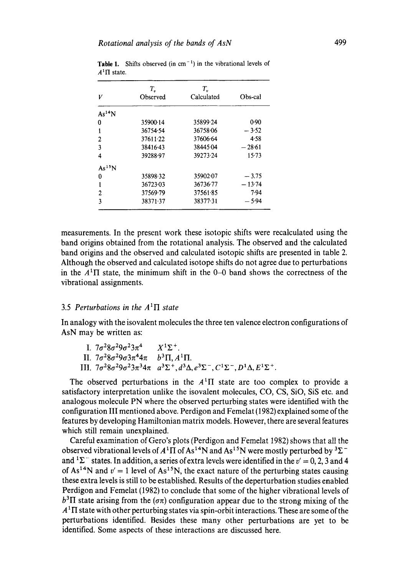|                    | Т,           | Т.,                   |          |  |  |
|--------------------|--------------|-----------------------|----------|--|--|
| V                  | Observed     | Calculated<br>Obs-cal |          |  |  |
| As <sup>14</sup> N |              |                       |          |  |  |
| 0                  | 35900-14     | 35899.24              | 0.90     |  |  |
| 1                  | 36754.54     | 36758.06              | $-3.52$  |  |  |
| 2                  | $37611 - 22$ | 37606.64              | 4.58     |  |  |
| 3                  | 38416.43     | 38445.04              | $-28.61$ |  |  |
| 4                  | 39288-97     | 39273-24              | 15.73    |  |  |
| $As^{15}N$         |              |                       |          |  |  |
| 0                  | 35898.32     | 35902.07              | $-3.75$  |  |  |
| 1                  | 36723-03     | 36736.77              | $-13.74$ |  |  |
| 2                  | 37569.79     | 37561.85              | 7.94     |  |  |
| 3                  | 38371.37     | 38377-31              | $-5.94$  |  |  |

**Table 1.** Shifts observed (in  $cm^{-1}$ ) in the vibrational levels of  $A<sup>1</sup>$ II state.

measurements. In the present work these isotopic shifts were recalculated using the band origins obtained from the rotational analysis. The observed and the calculated band origins and the observed and calculated isotopic shifts are presented in table 2. Although the observed and calculated isotope shifts do not agree due to perturbations in the  $A<sup>1</sup>\Pi$  state, the minimum shift in the 0-0 band shows the correctness of the vibrational assignments.

### 3.5 *Perturbations in the*  $A<sup>1</sup>\Pi$  *state*

In analogy with the isovalent molecules the three ten valence electron configurations of AsN may be written as:

| I. $7\sigma^2 8\sigma^2 9\sigma^2 3\pi^4$ $X^1\Sigma^+$ .        |                                                                                                                                  |
|------------------------------------------------------------------|----------------------------------------------------------------------------------------------------------------------------------|
| II. $7\sigma^2 8\sigma^2 9\sigma 3\pi^4 4\pi$ $b^3\Pi, A^1\Pi$ . |                                                                                                                                  |
|                                                                  | III. $7\sigma^2 8\sigma^2 9\sigma^2 3\pi^3 4\pi a^3 \Sigma^+, d^3 \Delta, e^3 \Sigma^-, C^1 \Sigma^-, D^1 \Delta, E^1 \Sigma^+.$ |

The observed perturbations in the  $A<sup>1</sup>\Pi$  state are too complex to provide a satisfactory interpretation unlike the isovalent molecules, CO, CS, SiO, SiS etc. and analogous molecule PN where the observed perturbing states were identified with the configuration III mentioned above. Perdigon and Femelat (1982) explained some of the features by developing Hamiltonian matrix models. However, there are several features which still remain unexplained.

Careful examination of Gero's plots (Perdigon and Femetat 1982) shows that all the observed vibrational levels of  $A<sup>1</sup>\Pi$  of As<sup>14</sup>N and As<sup>15</sup>N were mostly perturbed by <sup>3</sup> $\Sigma$ <sup>-</sup> and  ${}^{1}\Sigma^{-}$  states. In addition, a series of extra levels were identified in the  $v' = 0, 2, 3$  and 4 of  $As^{14}N$  and  $v' = 1$  level of  $As^{15}N$ , the exact nature of the perturbing states causing these extra levels is still to be established. Results of the deperturbation studies enabled Perdigon and Femelat (1982) to conclude that some of the higher vibrational levels of  $b<sup>3</sup>\Pi$  state arising from the ( $\sigma \pi$ ) configuration appear due to the strong mixing of the  $A<sup>1</sup>$  IT state with other perturbing states via spin-orbit interactions. These are some of the perturbations identified. Besides these many other perturbations are yet to be identified. Some aspects of these interactions are discussed here.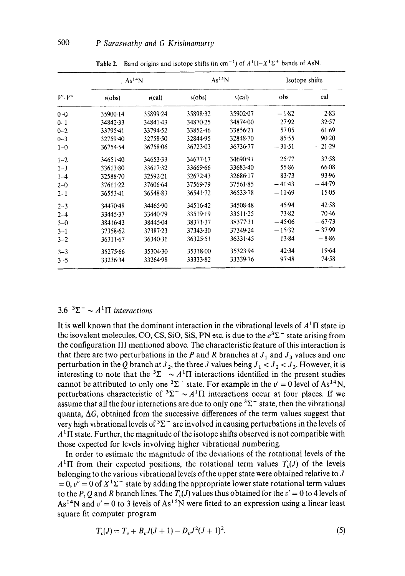| $V'$ - $V''$ | . $As^{14}N$ |                 |          | As <sup>15</sup> N | Isotope shifts |           |
|--------------|--------------|-----------------|----------|--------------------|----------------|-----------|
|              | v(obs)       | $v(\text{cal})$ | v(obs)   | $v(\text{cal})$    | obs            | cal       |
| $0 - 0$      | 35900.14     | 35899.24        | 3589832  | 35902.07           | $-1.82$        | 2.83      |
| $0 - 1$      | 34842.33     | 34841.43        | 34870.25 | 34874.00           | 27.92          | 32.57     |
| $0 - 2$      | 33795.41     | 33794-52        | 33852.46 | 33856.21           | $57-05$        | 61.69     |
| $0 - 3$      | 32759.40     | 32758.50        | 32844.95 | 32848.70           | 85.55          | 90.20     |
| $1 - 0$      | 36754.54     | 36758.06        | 36723-03 | 36736.77           | $-31.51$       | $-21.29$  |
| $1 - 2$      | $34651 - 40$ | 34653.33        | 34677.17 | 34690.91           | 25.77          | $37 - 58$ |
| $1 - 3$      | 33613.80     | 33617.32        | 33669-66 | 33683.40           | $55 - 86$      | 66.08     |
| $1 - 4$      | 32588.70     | 32592.21        | 32672.43 | 32686-17           | 83.73          | 93.96     |
| $2 - 0$      | 37611.22     | 37606.64        | 37569.79 | 37561.85           | $-41.43$       | $-44.79$  |
| $2 - 1$      | 3655341      | 36548.83        | 36541.72 | 36533.78           | $-11.69$       | $-15.05$  |
| $2 - 3$      | 34470.48     | 34465.90        | 34516-42 | 34508.48           | 45.94          | 42.58     |
| $2 - 4$      | 33445.37     | 33440.79        | 33519-19 | 33511.25           | 73.82          | 70.46     |
| $3 - 0$      | 38416.43     | 38445-04        | 38371.37 | 38377.31           | $-45.06$       | $-67-73$  |
| $3 - 1$      | 37358.62     | 37387.23        | 37343.30 | 37349.24           | $-15.32$       | $-37.99$  |
| $3 - 2$      | 36311.67     | 36340.31        | 36325.51 | $36331 - 45$       | 13.84          | $-8.86$   |
| $3 - 3$      | 35275.66     | 35304.30        | 35318.00 | 35323-94           | 42.34          | 19.64     |
| $3 - 5$      | 33236.34     | 33264.98        | 33333-82 | 33339.76           | $97-48$        | 74.58     |

**Table 2.** Band origins and isotope shifts (in cm<sup>-1</sup>) of  $A^{1}\Pi - X^{1}\Sigma^{+}$  bands of AsN.

# 3.6  ${}^{3}\Sigma^{-} \sim A^{1}\Pi$  *interactions*

It is well known that the dominant interaction in the vibrational levels of  $A<sup>1</sup>\Pi$  state in the isovalent molecules, CO, CS, SiO, SiS, PN etc. is due to the  $e^{3\Sigma^-}$  state arising from the configuration III mentioned above. The characteristic feature of this interaction is that there are two perturbations in the P and R branches at  $J_1$  and  $J_3$  values and one perturbation in the Q branch at  $J_2$ , the three J values being  $J_1 < J_2 < J_3$ . However, it is interesting to note that the  ${}^{3}\Sigma^{-} \sim A {}^{1}\Pi$  interactions identified in the present studies cannot be attributed to only one  ${}^{3}\Sigma^{-}$  state. For example in the  $v' = 0$  level of As<sup>14</sup>N, perturbations characteristic of  ${}^{3}\Sigma^{-} \sim A^{1}\Pi$  interactions occur at four places. If we assume that all the four interactions are due to only one  ${}^{3}\Sigma^{-}$  state, then the vibrational quanta,  $\Delta G$ , obtained from the successive differences of the term values suggest that very high vibrational levels of  ${}^{3}\Sigma^{-}$  are involved in causing perturbations in the levels of  $A<sup>1</sup>\Pi$  state. Further, the magnitude of the isotope shifts observed is not compatible with those expected for levels involving higher vibrational numbering.

In order to estimate the magnitude of the deviations of the rotational levels of the  $A<sup>1</sup>\Pi$  from their expected positions, the rotational term values  $T<sub>0</sub>(J)$  of the levels belonging to the various vibrational levels of the upper state were obtained relative to  $J$  $= 0$ ,  $v'' = 0$  of  $X^1\Sigma^+$  state by adding the appropriate lower state rotational term values to the P, Q and R branch lines. The  $T_p(J)$  values thus obtained for the  $v' = 0$  to 4 levels of  $As^{14}N$  and  $v' = 0$  to 3 levels of  $As^{15}N$  were fitted to an expression using a linear least square fit computer program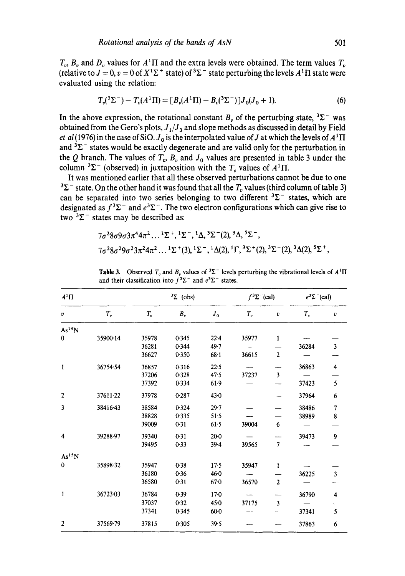$T_v$ ,  $B_v$  and  $D_v$  values for  $A<sup>1</sup>\Pi$  and the extra levels were obtained. The term values  $T_v$ (relative to  $J = 0$ ,  $v = 0$  of  $X^1\Sigma^+$  state) of  ${}^3\Sigma^-$  state perturbing the levels  $A^1\Pi$  state were evaluated using the relation:

$$
T_{\nu}({}^{3}\Sigma^{-}) - T_{\nu}(A^{1}\Pi) = [B_{\nu}(A^{1}\Pi) - B_{\nu}({}^{3}\Sigma^{-})]J_{0}(J_{0} + 1).
$$
 (6)

In the above expression, the rotational constant  $B<sub>v</sub>$  of the perturbing state,  ${}^{3}\Sigma^{-}$  was obtained from the Gero's plots,  $J_1/J_3$  and slope methods as discussed in detail by Field *et al* (1976) in the case of SiO.  $J_0$  is the interpolated value of J at which the levels of  $A<sup>1</sup>$   $\Pi$ and  ${}^{3}\Sigma^{-}$  states would be exactly degenerate and are valid only for the perturbation in the Q branch. The values of  $T_v$ ,  $B_v$  and  $J_0$  values are presented in table 3 under the column  ${}^{3}\Sigma^{-}$  (observed) in juxtaposition with the  $T_{v}$  values of  $A^{1}\Pi$ .

It was mentioned earlier that all these observed perturbations cannot be due to one  $3\Sigma^-$  state. On the other hand it was found that all the T<sub>n</sub> values (third column of table 3) can be separated into two series belonging to two different  ${}^{3}\Sigma^{-}$  states, which are designated as  $f^3\Sigma^-$  and  $e^3\Sigma^-$ . The two electron configurations which can give rise to two  $3\Sigma^-$  states may be described as:

$$
7\sigma^2 8\sigma 9\sigma 3\pi^4 4\pi^2 ... 1\Sigma^+, 1\Sigma^-, 1\Delta, 3\Sigma^-(2), 3\Delta, 5\Sigma^-,
$$
  
\n $7\sigma^2 8\sigma^2 9\sigma^2 3\pi^2 4\pi^2 ... 1\Sigma^+(3), 1\Sigma^-, 1\Delta(2), 1\Gamma, 3\Sigma^+(2), 3\Sigma^-(2), 3\Delta(2), 5\Sigma^+,$ 

| $A^1\Pi$           |          |         | $3\Sigma^-(obs)$ |          | $f^3\Sigma^-(cal)$ |                  | $e^3\Sigma$ <sup>-</sup> (cal) |                         |
|--------------------|----------|---------|------------------|----------|--------------------|------------------|--------------------------------|-------------------------|
| v                  | $T_v$    | $T_{v}$ | $B_v$            | $J_0$    | $T_{v}$            | $\pmb{\upsilon}$ | $T_{v}$                        | $\boldsymbol{v}$        |
| As <sup>14</sup> N |          |         |                  |          |                    |                  |                                |                         |
| $\bf{0}$           | 35900.14 | 35978   | 0.345            | $22 - 4$ | 35977              | $\mathbf{1}$     |                                |                         |
|                    |          | 36281   | 0.344            | 49.7     |                    |                  | 36284                          | $\mathbf{3}$            |
|                    |          | 36627   | 0.350            | $68-1$   | 36615              | $\mathbf 2$      |                                |                         |
| $\mathbf{1}$       | 36754.54 | 36857   | 0.316            | 22.5     |                    |                  | 36863                          | $\overline{\mathbf{4}}$ |
|                    |          | 37206   | 0.328            | 47.5     | 37237              | 3                |                                |                         |
|                    |          | 37392   | 0.334            | $61-9$   |                    |                  | 37423                          | 5                       |
| $\overline{2}$     | 37611.22 | 37978   | 0.287            | $43 - 0$ |                    |                  | 37964                          | 6                       |
| 3                  | 38416.43 | 38584   | 0.324            | 29.7     |                    |                  | 38486                          | $\overline{7}$          |
|                    |          | 38828   | 0.335            | $51-5$   |                    |                  | 38989                          | 8                       |
|                    |          | 39009   | 0.31             | 61.5     | 39004              | 6                |                                |                         |
| 4                  | 39288-97 | 39340   | 0.31             | $20-0$   |                    |                  | 39473                          | 9                       |
|                    |          | 39495   | 0.33             | $39 - 4$ | 39565              | $\overline{7}$   |                                |                         |
| As <sup>15</sup> N |          |         |                  |          |                    |                  |                                |                         |
| $\bf{0}$           | 35898.32 | 35947   | 0.38             | 17.5     | 35947              | 1                |                                |                         |
|                    |          | 36180   | 0.36             | 46.0     |                    |                  | 36225                          | $\overline{\mathbf{3}}$ |
|                    |          | 36580   | 0.31             | $67 - 0$ | 36570              | $\overline{2}$   |                                |                         |
| 1                  | 36723.03 | 36784   | 0.39             | 170      |                    |                  | 36790                          | 4                       |
|                    |          | 37037   | 0.32             | 450      | 37175              | $\mathbf{3}$     |                                |                         |
|                    |          | 37341   | 0.345            | $60-0$   |                    |                  | 37341                          | 5                       |
| $\boldsymbol{2}$   | 37569.79 | 37815   | 0.305            | 39.5     |                    |                  | 37863                          | 6                       |

**Table 3.** Observed  $T_v$  and  $B_v$  values of  ${}^3\Sigma^-$  levels perturbing the vibrational levels of  $A^1\Pi$ and their classification into  $f^3\Sigma^-$  and  $e^3\Sigma^-$  states.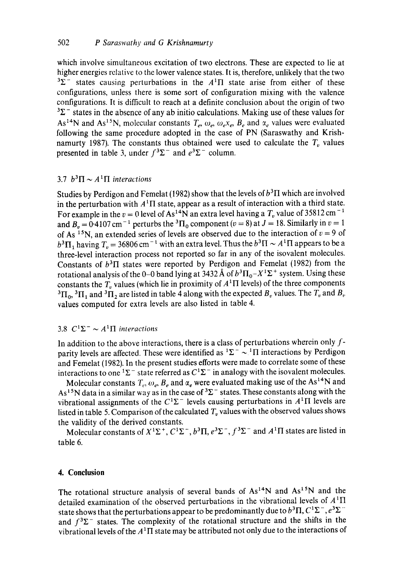which involve simultaneous excitation of two electrons. These are expected to lie at higher energies relative to the lower valence states. It is, therefore, unlikely that the two  $3\Sigma$ <sup>-</sup> states causing perturbations in the  $A<sup>1</sup>\Pi$  state arise from either of these configurations, unless there is some sort of configuration mixing with the valence configurations. It is difficult to reach at a definite conclusion about the origin of two  $3\Sigma$ <sup>-</sup> states in the absence of any ab initio calculations. Making use of these values for As<sup>14</sup>N and As<sup>15</sup>N, molecular constants  $T_e, \omega_e, \omega_e x_e, B_e$  and  $\alpha_e$  values were evaluated following the same procedure adopted in the case of PN (Saraswathy and Krishnamurty 1987). The constants thus obtained were used to calculate the  $T_p$  values presented in table 3, under  $f^3\Sigma^-$  and  $e^3\Sigma^-$  column.

### 3.7  $b^3\Pi \sim A^1\Pi$  interactions

Studies by Perdigon and Femelat (1982) show that the levels of  $b<sup>3</sup>\Pi$  which are involved in the perturbation with  $A<sup>1</sup>\Pi$  state, appear as a result of interaction with a third state. For example in the  $v = 0$  level of As<sup>14</sup>N an extra level having a  $T_v$  value of 35812 cm<sup>-1</sup> and  $B_v = 0.4107$  cm<sup>-1</sup> perturbs the <sup>3</sup> $\Pi_0$  component (v = 8) at J = 18. Similarly in v = 1 of As <sup>15</sup>N, an extended series of levels are observed due to the interaction of  $v = 9$  of  $b^3\Pi_1$  having  $T_v = 36806$  cm<sup>-1</sup> with an extra level. Thus the  $b^3\Pi \sim A^1\Pi$  appears to be a three-level interaction process not reported so far in any of the isovalent molecules. Constants of  $b<sup>3</sup>\Pi$  states were reported by Perdigon and Femelat (1982) from the rotational analysis of the 0-0 band lying at 3432 Å of  $b^3\Pi_0 - X^1\Sigma^+$  system. Using these constants the  $T_v$  values (which lie in proximity of  $A<sup>1</sup>\Pi$  levels) of the three components  ${}^3\Pi_0$ ,  ${}^3\Pi_1$  and  ${}^3\Pi_2$  are listed in table 4 along with the expected  $B_v$  values. The  $T_v$  and  $B_v$ values computed for extra levels are also listed in table 4.

## 3.8  $C^1\Sigma^- \sim A^1\Pi$  interactions

In addition to the above interactions, there is a class of perturbations wherein only  $f$ parity levels are affected. These were identified as  ${}^{1}\Sigma^{-} \sim {}^{1}\Pi$  interactions by Perdigon and Femelat (1982). In the present studies efforts were made to correlate some of these interactions to one  ${}^{1}\Sigma^{-}$  state referred as  $C^{1}\Sigma^{-}$  in analogy with the isovalent molecules.

Molecular constants  $T_c$ ,  $\omega_e$ ,  $B_e$  and  $\alpha_e$  were evaluated making use of the As<sup>14</sup>N and As<sup>15</sup>N data in a similar way as in the case of  ${}^{3}\Sigma^{-}$  states. These constants along with the vibrational assignments of the  $C^1\Sigma^-$  levels causing perturbations in  $A^1\Pi$  levels are listed in table 5. Comparison of the calculated  $T<sub>v</sub>$  values with the observed values shows the validity of the derived constants.

Molecular constants of  $X^1\Sigma^+, C^1\Sigma^-, b^3\Pi, e^3\Sigma^-, f^3\Sigma^-$  and  $A^1\Pi$  states are listed in table 6.

### **4. Conclusion**

The rotational structure analysis of several bands of  $As^{14}N$  and  $As^{15}N$  and the detailed examination of the observed perturbations in the vibrational levels of  $A<sup>1</sup>\Pi$ state shows that the perturbations appear to be predominantly due to  $b^3\Pi$ ,  $C^1\Sigma^-$ ,  $e^3\Sigma^$ and  $f^3\Sigma^-$  states. The complexity of the rotational structure and the shifts in the vibrational levels of the  $A<sup>1</sup>$ T state may be attributed not only due to the interactions of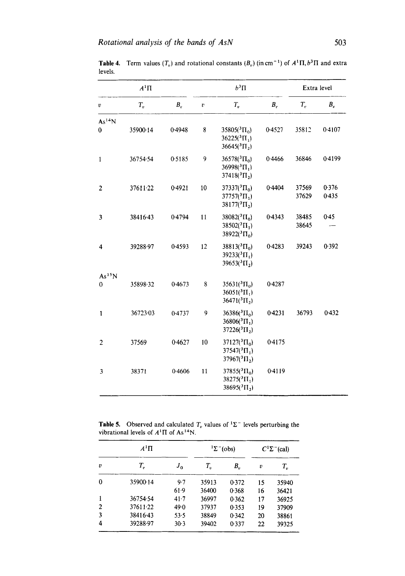| $A^1\Pi$           |          |        |                  | $b^3\Pi$                                                                          |        | Extra level    |                |
|--------------------|----------|--------|------------------|-----------------------------------------------------------------------------------|--------|----------------|----------------|
| v                  | $T_v$    | $B_v$  | $\boldsymbol{v}$ | $T_{v}$                                                                           | $B_v$  | $T_{\rm r}$    | $B_v$          |
| As <sup>14</sup> N |          |        |                  |                                                                                   |        |                |                |
| $\bf{0}$           | 35900.14 | 0.4948 | 8                | $35805(^{3}\Pi_{0})$<br>$36225({}^{3}\Pi, )$<br>$36645(^3\Pi_2)$                  | 0.4527 | 35812          | 0.4107         |
| $\mathbf{1}$       | 36754.54 | 0.5185 | 9                | $36578(^{3}\Pi_{0})$<br>$36998(^{3}\Pi_{1})$<br>$37418(^{3}\Pi_{2})$              | 0.4466 | 36846          | 04199          |
| $\overline{c}$     | 37611.22 | 0.4921 | 10               | $37337(^{3}\Pi_{0})$<br>$37757(^{3}_{1}$ $\Pi_{1}$ )<br>$38177(^{3}\text{H}_{2})$ | 0.4404 | 37569<br>37629 | 0.376<br>0.435 |
| 3                  | 38416.43 | 0.4794 | 11               | $38082(^{3}\Pi_{0})$<br>$38502(^3\Pi_1)$<br>38922( ${}^{3}$ $\Pi_{0}$ )           | 0.4343 | 38485<br>38645 | 0.45           |
| 4                  | 39288.97 | 0.4593 | 12               | $38813(^{3}\text{H}_{0})$<br>$39233(^{3}\Pi_{1})$<br>$39653(^{3}\Pi_{2})$         | 0.4283 | 39243          | 0.392          |
| As <sup>15</sup> N |          |        |                  |                                                                                   |        |                |                |
| 0                  | 35898-32 | 0.4673 | 8                | $35631(^{3}$ $\Pi_{0}$ )<br>$36051(^{3}\text{H}_{1})$<br>$36471(^{3}\Pi_{2})$     | 0.4287 |                |                |
| 1                  | 36723-03 | 0.4737 | 9                | $36386(^{3}\Pi_{0})$<br>$36806(^{3}\Pi_{1})$<br>$37226(^{3}\Pi_{2})$              | 0.4231 | 36793          | 0.432          |
| $\overline{2}$     | 37569    | 0.4627 | 10               | $37127({}^{3}\Pi_{0})$<br>$37547(^{3}\Pi_{1})$<br>$37967(^{3} \Pi_{2})$           | 0.4175 |                |                |
| 3                  | 38371    | 0.4606 | 11               | $37855(^{3} \Pi_{0})$<br>$38275(^{3}\Pi_{1})$<br>$38695(^{3} \Pi_{2})$            | 0.4119 |                |                |

**Table 4.** Term values  $(T_v)$  and rotational constants  $(B_v)$  (in cm<sup>-1</sup>) of  $A^1\Pi$ ,  $b^3\Pi$  and extra levels.

**Table 5.** Observed and calculated  $T<sub>v</sub>$  values of  ${}^{1}\Sigma^{-}$  levels perturbing the vibrational levels of  $A<sup>1</sup>\Pi$  of As<sup>14</sup>N.

| $A^1\Pi$ |          |         |             | $1\Sigma$ <sup>-</sup> (obs) |    | $C^1\Sigma^-$ (cal) |  |
|----------|----------|---------|-------------|------------------------------|----|---------------------|--|
| υ        | $T_{v}$  | $J_{0}$ | $T_{\rm n}$ | В"                           | υ  | $T_{v}$             |  |
| 0        | 35900.14 | 9.7     | 35913       | 0.372                        | 15 | 35940               |  |
|          |          | 61.9    | 36400       | 0.368                        | 16 | 36421               |  |
| 1        | 36754.54 | 41.7    | 36997       | 0.362                        | 17 | 36925               |  |
| 2        | 37611.22 | 49.0    | 37937       | 0.353                        | 19 | 37909               |  |
| 3        | 38416.43 | 53.5    | 38849       | 0.342                        | 20 | 38861               |  |
| 4        | 39288-97 | $30-3$  | 39402       | 0.337                        | 22 | 39325               |  |